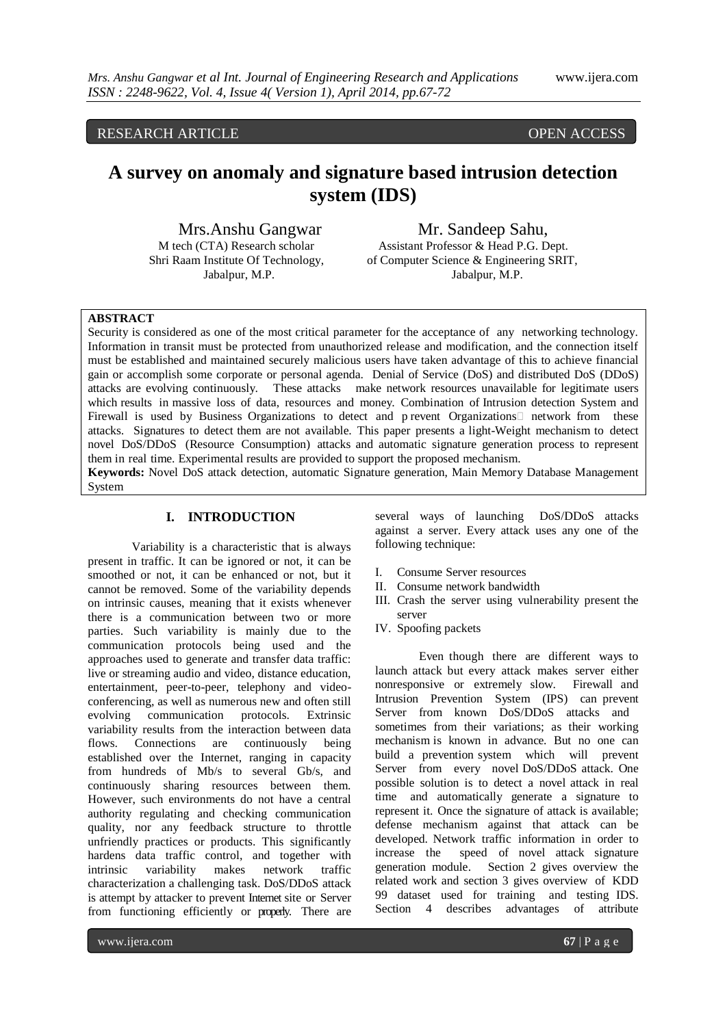RESEARCH ARTICLE OPEN ACCESS

# **A survey on anomaly and signature based intrusion detection system (IDS)**

Mrs.Anshu Gangwar Mr. Sandeep Sahu,<br>Mech (CTA) Research scholar Assistant Professor & Head P.G. D Assistant Professor & Head P.G. Dept. Shri Raam Institute Of Technology, of Computer Science & Engineering SRIT, Jabalpur, M.P. Jabalpur, M.P.

#### **ABSTRACT**

Security is considered as one of the most critical parameter for the acceptance of any networking technology. Information in transit must be protected from unauthorized release and modification, and the connection itself must be established and maintained securely malicious users have taken advantage of this to achieve financial gain or accomplish some corporate or personal agenda. Denial of Service (DoS) and distributed DoS (DDoS) attacks are evolving continuously. These attacks make network resources unavailable for legitimate users which results in massive loss of data, resources and money. Combination of Intrusion detection System and Firewall is used by Business Organizations to detect and p revent Organizations network from these attacks. Signatures to detect them are not available. This paper presents a light-Weight mechanism to detect novel DoS/DDoS (Resource Consumption) attacks and automatic signature generation process to represent them in real time. Experimental results are provided to support the proposed mechanism. **Keywords:** Novel DoS attack detection, automatic Signature generation, Main Memory Database Management

System

# **I. INTRODUCTION**

Variability is a characteristic that is always present in traffic. It can be ignored or not, it can be smoothed or not, it can be enhanced or not, but it cannot be removed. Some of the variability depends on intrinsic causes, meaning that it exists whenever there is a communication between two or more parties. Such variability is mainly due to the communication protocols being used and the approaches used to generate and transfer data traffic: live or streaming audio and video, distance education, entertainment, peer-to-peer, telephony and videoconferencing, as well as numerous new and often still evolving communication protocols. Extrinsic variability results from the interaction between data flows. Connections are continuously being established over the Internet, ranging in capacity from hundreds of Mb/s to several Gb/s, and continuously sharing resources between them. However, such environments do not have a central authority regulating and checking communication quality, nor any feedback structure to throttle unfriendly practices or products. This significantly hardens data traffic control, and together with intrinsic variability makes network traffic characterization a challenging task. DoS/DDoS attack is attempt by attacker to prevent Internet site or Server from functioning efficiently or properly. There are

several ways of launching DoS/DDoS attacks against a server. Every attack uses any one of the following technique:

- I. Consume Server resources
- II. Consume network bandwidth
- III. Crash the server using vulnerability present the server
- IV. Spoofing packets

Even though there are different ways to launch attack but every attack makes server either nonresponsive or extremely slow. Firewall and Intrusion Prevention System (IPS) can prevent Server from known DoS/DDoS attacks and sometimes from their variations; as their working mechanism is known in advance. But no one can build a prevention system which will prevent Server from every novel DoS/DDoS attack. One possible solution is to detect a novel attack in real time and automatically generate a signature to represent it. Once the signature of attack is available; defense mechanism against that attack can be developed. Network traffic information in order to increase the speed of novel attack signature generation module. Section 2 gives overview the related work and section 3 gives overview of KDD 99 dataset used for training and testing IDS. Section 4 describes advantages of attribute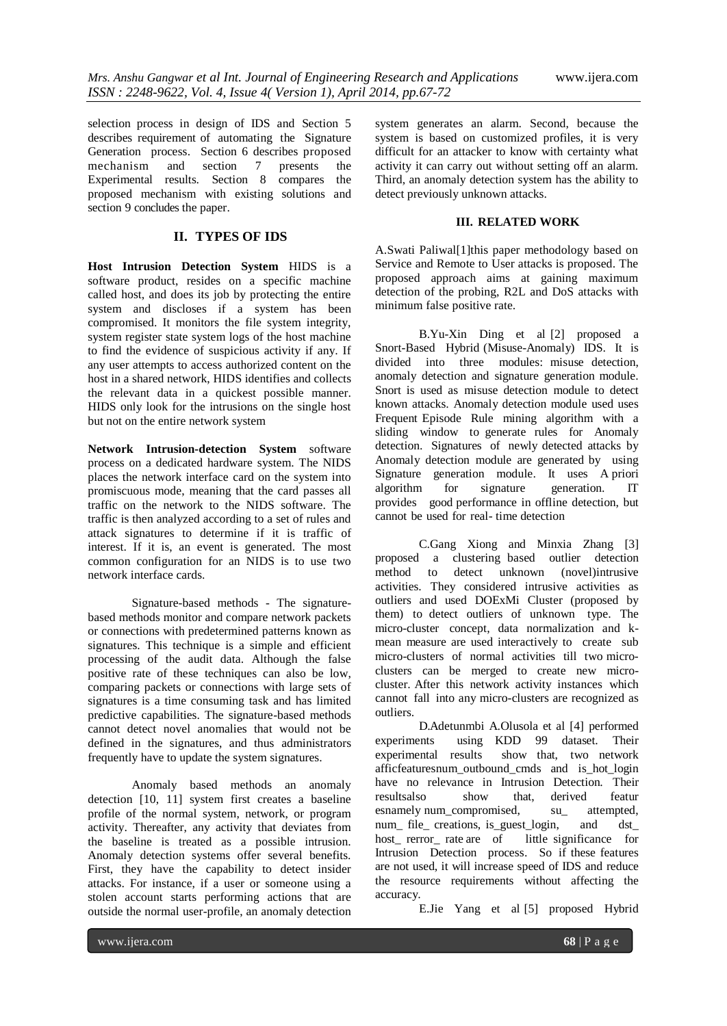selection process in design of IDS and Section 5 describes requirement of automating the Signature Generation process. Section 6 describes proposed<br>mechanism and section 7 presents the mechanism and section 7 presents the Experimental results. Section 8 compares the proposed mechanism with existing solutions and section 9 concludes the paper.

## **II. TYPES OF IDS**

**Host Intrusion Detection System** HIDS is a software product, resides on a specific machine called host, and does its job by protecting the entire system and discloses if a system has been compromised. It monitors the file system integrity, system register state system logs of the host machine to find the evidence of suspicious activity if any. If any user attempts to access authorized content on the host in a shared network, HIDS identifies and collects the relevant data in a quickest possible manner. HIDS only look for the intrusions on the single host but not on the entire network system

**Network Intrusion-detection System** software process on a dedicated hardware system. The NIDS places the network interface card on the system into promiscuous mode, meaning that the card passes all traffic on the network to the NIDS software. The traffic is then analyzed according to a set of rules and attack signatures to determine if it is traffic of interest. If it is, an event is generated. The most common configuration for an NIDS is to use two network interface cards.

Signature-based methods - The signaturebased methods monitor and compare network packets or connections with predetermined patterns known as signatures. This technique is a simple and efficient processing of the audit data. Although the false positive rate of these techniques can also be low, comparing packets or connections with large sets of signatures is a time consuming task and has limited predictive capabilities. The signature-based methods cannot detect novel anomalies that would not be defined in the signatures, and thus administrators frequently have to update the system signatures.

Anomaly based methods an anomaly detection [10, 11] system first creates a baseline profile of the normal system, network, or program activity. Thereafter, any activity that deviates from the baseline is treated as a possible intrusion. Anomaly detection systems offer several benefits. First, they have the capability to detect insider attacks. For instance, if a user or someone using a stolen account starts performing actions that are outside the normal user-profile, an anomaly detection

system generates an alarm. Second, because the system is based on customized profiles, it is very difficult for an attacker to know with certainty what activity it can carry out without setting off an alarm. Third, an anomaly detection system has the ability to detect previously unknown attacks.

#### **III. RELATED WORK**

A.Swati Paliwal[1]this paper methodology based on Service and Remote to User attacks is proposed. The proposed approach aims at gaining maximum detection of the probing, R2L and DoS attacks with minimum false positive rate.

B.Yu-Xin Ding et al [2] proposed a Snort-Based Hybrid (Misuse-Anomaly) IDS. It is divided into three modules: misuse detection, anomaly detection and signature generation module. Snort is used as misuse detection module to detect known attacks. Anomaly detection module used uses Frequent Episode Rule mining algorithm with a sliding window to generate rules for Anomaly detection. Signatures of newly detected attacks by Anomaly detection module are generated by using Signature generation module. It uses A priori algorithm for signature generation. IT provides good performance in offline detection, but cannot be used for real- time detection

C.Gang Xiong and Minxia Zhang [3] proposed a clustering based outlier detection method to detect unknown (novel)intrusive activities. They considered intrusive activities as outliers and used DOExMi Cluster (proposed by them) to detect outliers of unknown type. The micro-cluster concept, data normalization and kmean measure are used interactively to create sub micro-clusters of normal activities till two microclusters can be merged to create new microcluster. After this network activity instances which cannot fall into any micro-clusters are recognized as outliers.

D.Adetunmbi A.Olusola et al [4] performed experiments using KDD 99 dataset. Their experimental results show that, two network afficfeaturesnum\_outbound\_cmds and is\_hot\_login have no relevance in Intrusion Detection. Their resultsalso show that, derived featur esnamely num\_compromised, su\_ attempted, num file creations, is guest login, and dst host rerror rate are of little significance for Intrusion Detection process. So if these features are not used, it will increase speed of IDS and reduce the resource requirements without affecting the accuracy.

E.Jie Yang et al [5] proposed Hybrid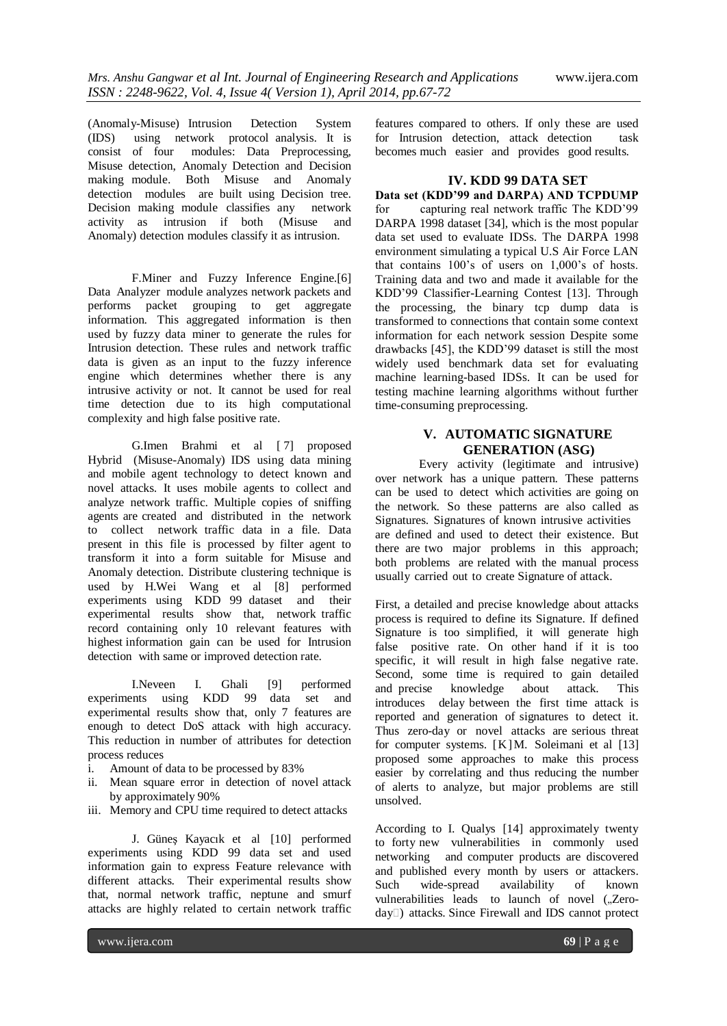(Anomaly-Misuse) Intrusion Detection System (IDS) using network protocol analysis. It is consist of four modules: Data Preprocessing, Misuse detection, Anomaly Detection and Decision making module. Both Misuse and Anomaly detection modules are built using Decision tree. Decision making module classifies any network activity as intrusion if both (Misuse and Anomaly) detection modules classify it as intrusion.

F.Miner and Fuzzy Inference Engine.[6] Data Analyzer module analyzes network packets and performs packet grouping to get aggregate information. This aggregated information is then used by fuzzy data miner to generate the rules for Intrusion detection. These rules and network traffic data is given as an input to the fuzzy inference engine which determines whether there is any intrusive activity or not. It cannot be used for real time detection due to its high computational complexity and high false positive rate.

G.Imen Brahmi et al [ 7] proposed Hybrid (Misuse-Anomaly) IDS using data mining and mobile agent technology to detect known and novel attacks. It uses mobile agents to collect and analyze network traffic. Multiple copies of sniffing agents are created and distributed in the network to collect network traffic data in a file. Data present in this file is processed by filter agent to transform it into a form suitable for Misuse and Anomaly detection. Distribute clustering technique is used by H.Wei Wang et al [8] performed experiments using KDD 99 dataset and their experimental results show that, network traffic record containing only 10 relevant features with highest information gain can be used for Intrusion detection with same or improved detection rate.

I.Neveen I. Ghali [9] performed experiments using KDD 99 data set and experimental results show that, only 7 features are enough to detect DoS attack with high accuracy. This reduction in number of attributes for detection process reduces

- i. Amount of data to be processed by 83%
- ii. Mean square error in detection of novel attack by approximately 90%
- iii. Memory and CPU time required to detect attacks

J. Güneş Kayacık et al [10] performed experiments using KDD 99 data set and used information gain to express Feature relevance with different attacks. Their experimental results show that, normal network traffic, neptune and smurf attacks are highly related to certain network traffic

features compared to others. If only these are used for Intrusion detection, attack detection task becomes much easier and provides good results.

#### **IV. KDD 99 DATA SET**

**Data set (KDD'99 and DARPA) AND TCPDUMP** for capturing real network traffic The KDD'99 DARPA 1998 dataset [34], which is the most popular data set used to evaluate IDSs. The DARPA 1998 environment simulating a typical U.S Air Force LAN that contains 100's of users on 1,000's of hosts. Training data and two and made it available for the KDD'99 Classifier-Learning Contest [13]. Through the processing, the binary tcp dump data is transformed to connections that contain some context information for each network session Despite some drawbacks [45], the KDD'99 dataset is still the most widely used benchmark data set for evaluating machine learning-based IDSs. It can be used for testing machine learning algorithms without further time-consuming preprocessing.

## **V. AUTOMATIC SIGNATURE GENERATION (ASG)**

Every activity (legitimate and intrusive) over network has a unique pattern. These patterns can be used to detect which activities are going on the network. So these patterns are also called as Signatures. Signatures of known intrusive activities are defined and used to detect their existence. But there are two major problems in this approach; both problems are related with the manual process usually carried out to create Signature of attack.

First, a detailed and precise knowledge about attacks process is required to define its Signature. If defined Signature is too simplified, it will generate high false positive rate. On other hand if it is too specific, it will result in high false negative rate. Second, some time is required to gain detailed and precise knowledge about attack. This introduces delay between the first time attack is reported and generation of signatures to detect it. Thus zero-day or novel attacks are serious threat for computer systems.  $[K]M$ . Soleimani et al  $[13]$ proposed some approaches to make this process easier by correlating and thus reducing the number of alerts to analyze, but major problems are still unsolved.

According to I. Qualys [14] approximately twenty to forty new vulnerabilities in commonly used networking and computer products are discovered and published every month by users or attackers. Such wide-spread availability of known vulnerabilities leads to launch of novel ("Zeroday<sup>[1]</sup>) attacks. Since Firewall and IDS cannot protect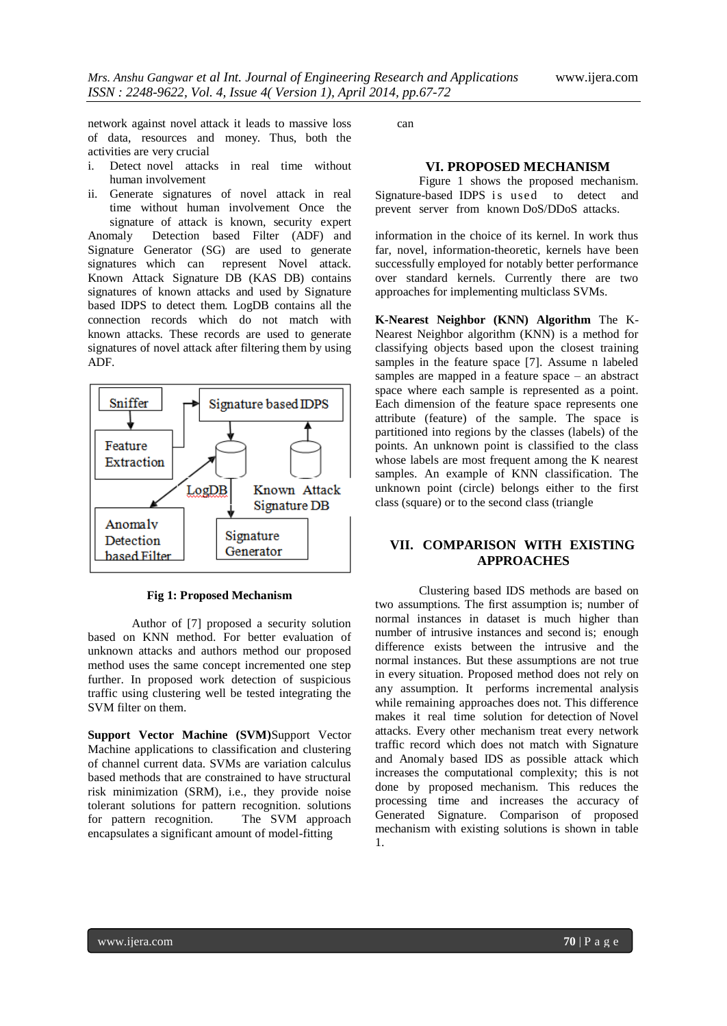network against novel attack it leads to massive loss of data, resources and money. Thus, both the activities are very crucial

i. Detect novel attacks in real time without human involvement

ii. Generate signatures of novel attack in real time without human involvement Once the signature of attack is known, security expert Anomaly Detection based Filter (ADF) and Signature Generator (SG) are used to generate signatures which can represent Novel attack. Known Attack Signature DB (KAS DB) contains signatures of known attacks and used by Signature based IDPS to detect them. LogDB contains all the connection records which do not match with known attacks. These records are used to generate signatures of novel attack after filtering them by using ADF.





Author of [7] proposed a security solution based on KNN method. For better evaluation of unknown attacks and authors method our proposed method uses the same concept incremented one step further. In proposed work detection of suspicious traffic using clustering well be tested integrating the SVM filter on them.

**Support Vector Machine (SVM)**Support Vector Machine applications to classification and clustering of channel current data. SVMs are variation calculus based methods that are constrained to have structural risk minimization (SRM), i.e., they provide noise tolerant solutions for pattern recognition. solutions for pattern recognition. The SVM approach encapsulates a significant amount of model-fitting

can

### **VI. PROPOSED MECHANISM**

Figure 1 shows the proposed mechanism. Signature-based IDPS is used to detect and prevent server from known DoS/DDoS attacks.

information in the choice of its kernel. In work thus far, novel, information-theoretic, kernels have been successfully employed for notably better performance over standard kernels. Currently there are two approaches for implementing multiclass SVMs.

**K-Nearest Neighbor (KNN) Algorithm** The K-Nearest Neighbor algorithm (KNN) is a method for classifying objects based upon the closest training samples in the feature space [7]. Assume n labeled samples are mapped in a feature space – an abstract space where each sample is represented as a point. Each dimension of the feature space represents one attribute (feature) of the sample. The space is partitioned into regions by the classes (labels) of the points. An unknown point is classified to the class whose labels are most frequent among the K nearest samples. An example of KNN classification. The unknown point (circle) belongs either to the first class (square) or to the second class (triangle

## **VII. COMPARISON WITH EXISTING APPROACHES**

Clustering based IDS methods are based on two assumptions. The first assumption is; number of normal instances in dataset is much higher than number of intrusive instances and second is; enough difference exists between the intrusive and the normal instances. But these assumptions are not true in every situation. Proposed method does not rely on any assumption. It performs incremental analysis while remaining approaches does not. This difference makes it real time solution for detection of Novel attacks. Every other mechanism treat every network traffic record which does not match with Signature and Anomaly based IDS as possible attack which increases the computational complexity; this is not done by proposed mechanism. This reduces the processing time and increases the accuracy of Generated Signature. Comparison of proposed mechanism with existing solutions is shown in table 1.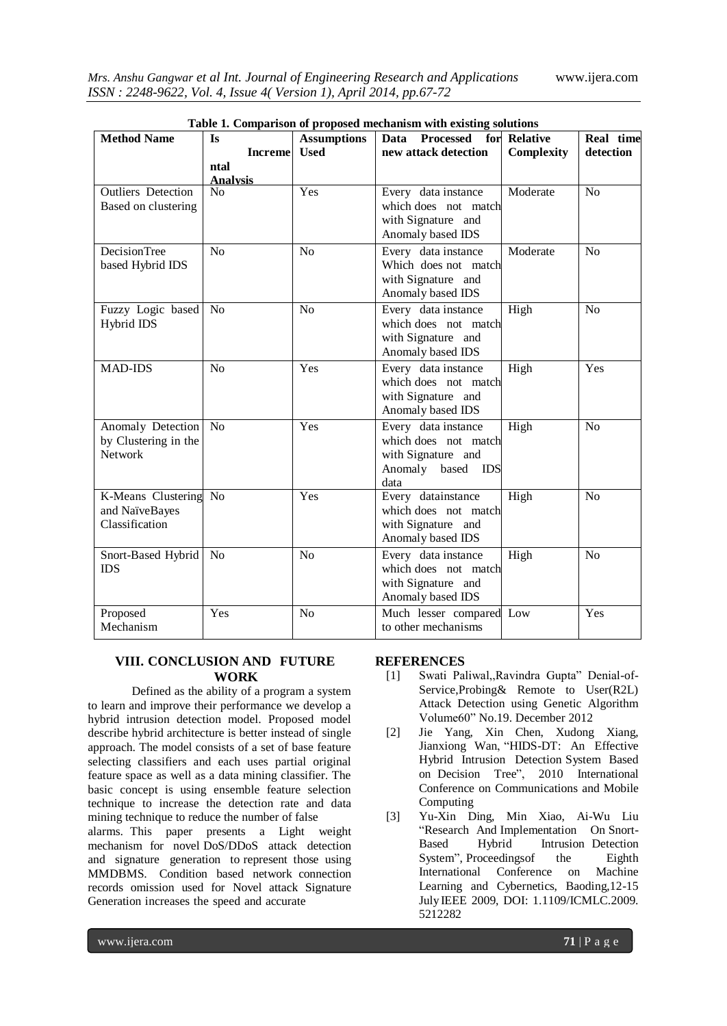| <b>Method Name</b><br><b>Processed</b><br><b>Assumptions</b><br>Data<br>for Relative<br>Is               | Real time      |
|----------------------------------------------------------------------------------------------------------|----------------|
| new attack detection<br><b>Increme</b><br><b>Used</b><br>Complexity                                      | detection      |
| ntal                                                                                                     |                |
| <b>Analysis</b><br>Yes<br><b>Outliers</b> Detection<br>Every data instance<br>N <sub>o</sub><br>Moderate | N <sub>o</sub> |
| which does not match                                                                                     |                |
| Based on clustering<br>with Signature and                                                                |                |
| Anomaly based IDS                                                                                        |                |
|                                                                                                          |                |
| <b>DecisionTree</b><br>N <sub>o</sub><br>Every data instance<br>Moderate<br>No                           | N <sub>o</sub> |
| Which does not match<br>based Hybrid IDS                                                                 |                |
| with Signature and                                                                                       |                |
| Anomaly based IDS                                                                                        |                |
| High<br>Fuzzy Logic based<br><b>No</b><br>No<br>Every data instance                                      | No             |
| Hybrid IDS<br>which does not match                                                                       |                |
| with Signature and                                                                                       |                |
| Anomaly based IDS                                                                                        |                |
| Every data instance<br>High<br><b>MAD-IDS</b><br>N <sub>o</sub><br>Yes                                   | Yes            |
| which does not match                                                                                     |                |
| with Signature and                                                                                       |                |
| Anomaly based IDS                                                                                        |                |
| Yes<br>Every data instance<br>High<br>Anomaly Detection<br>N <sub>o</sub>                                | No             |
| which does not match<br>by Clustering in the                                                             |                |
| <b>Network</b><br>with Signature and                                                                     |                |
| Anomaly based IDS                                                                                        |                |
| data                                                                                                     |                |
| High<br>K-Means Clustering No<br>Yes<br>Every datainstance                                               | N <sub>o</sub> |
| which does not match<br>and NaïveBayes                                                                   |                |
| Classification<br>with Signature and                                                                     |                |
| Anomaly based IDS                                                                                        |                |
| Every data instance<br><b>No</b><br>No<br>High<br>Snort-Based Hybrid                                     | N <sub>o</sub> |
| <b>IDS</b><br>which does not match                                                                       |                |
| with Signature and                                                                                       |                |
| Anomaly based IDS                                                                                        |                |
| Proposed<br>Yes<br>N <sub>o</sub><br>Much lesser compared Low                                            | Yes            |
| Mechanism<br>to other mechanisms                                                                         |                |

|  | Table 1. Comparison of proposed mechanism with existing solutions |  |  |  |
|--|-------------------------------------------------------------------|--|--|--|
|--|-------------------------------------------------------------------|--|--|--|

# **VIII. CONCLUSION AND FUTURE WORK**

Defined as the ability of a program a system to learn and improve their performance we develop a hybrid intrusion detection model. Proposed model describe hybrid architecture is better instead of single approach. The model consists of a set of base feature selecting classifiers and each uses partial original feature space as well as a data mining classifier. The basic concept is using ensemble feature selection technique to increase the detection rate and data mining technique to reduce the number of false

alarms. This paper presents a Light weight mechanism for novel DoS/DDoS attack detection and signature generation to represent those using MMDBMS. Condition based network connection records omission used for Novel attack Signature Generation increases the speed and accurate

# **REFERENCES**

- [1] Swati Paliwal,,Ravindra Gupta" Denial-of-Service, Probing & Remote to User(R2L) Attack Detection using Genetic Algorithm Volume60" No.19. December 2012
- [2] Jie Yang, Xin Chen, Xudong Xiang, Jianxiong Wan, "HIDS-DT: An Effective Hybrid Intrusion Detection System Based on Decision Tree", 2010 International Conference on Communications and Mobile Computing
- [3] Yu-Xin Ding, Min Xiao, Ai-Wu Liu "Research And Implementation On Snort-Based Hybrid Intrusion Detection System", Proceedings of the Eighth International Conference on Machine Learning and Cybernetics, Baoding,12-15 July IEEE 2009, DOI: 1.1109/ICMLC.2009. 5212282